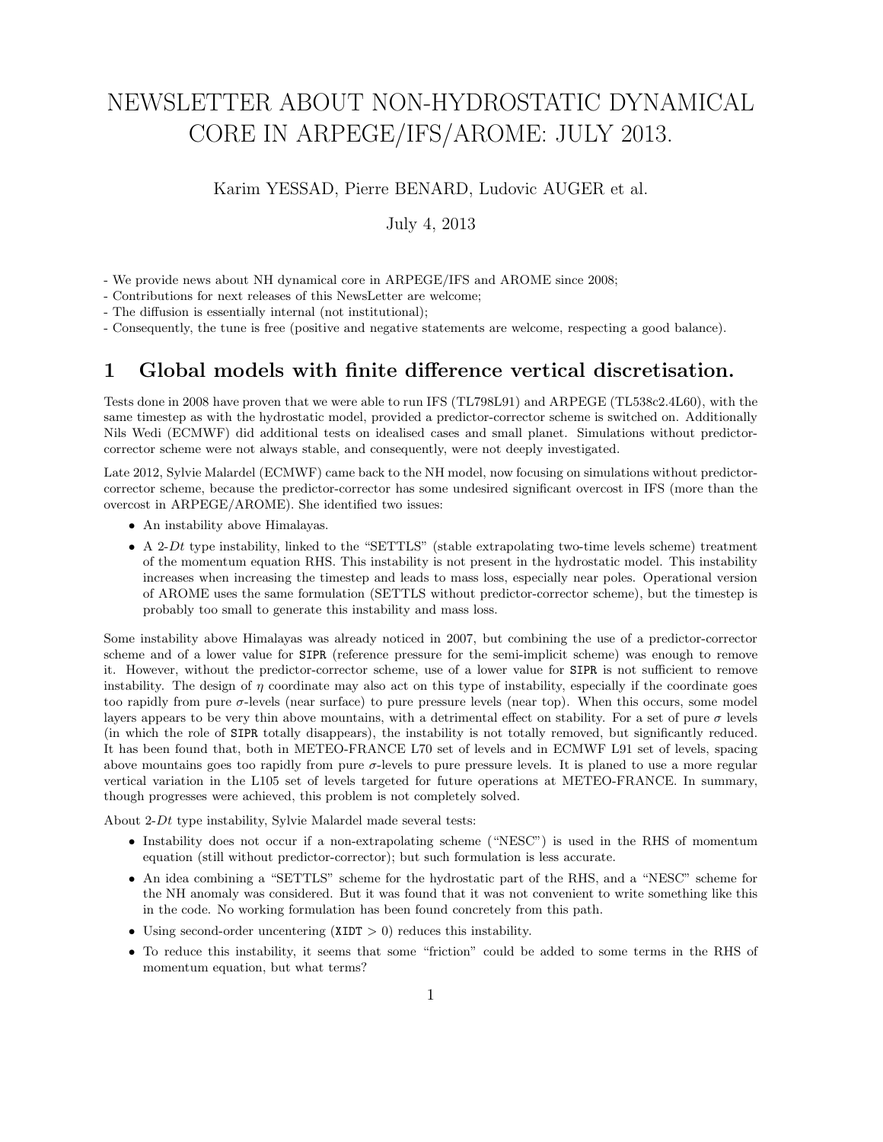# NEWSLETTER ABOUT NON-HYDROSTATIC DYNAMICAL CORE IN ARPEGE/IFS/AROME: JULY 2013.

Karim YESSAD, Pierre BENARD, Ludovic AUGER et al.

July 4, 2013

- We provide news about NH dynamical core in ARPEGE/IFS and AROME since 2008;

- Contributions for next releases of this NewsLetter are welcome;

- The diffusion is essentially internal (not institutional);

- Consequently, the tune is free (positive and negative statements are welcome, respecting a good balance).

### 1 Global models with finite difference vertical discretisation.

Tests done in 2008 have proven that we were able to run IFS (TL798L91) and ARPEGE (TL538c2.4L60), with the same timestep as with the hydrostatic model, provided a predictor-corrector scheme is switched on. Additionally Nils Wedi (ECMWF) did additional tests on idealised cases and small planet. Simulations without predictorcorrector scheme were not always stable, and consequently, were not deeply investigated.

Late 2012, Sylvie Malardel (ECMWF) came back to the NH model, now focusing on simulations without predictorcorrector scheme, because the predictor-corrector has some undesired significant overcost in IFS (more than the overcost in ARPEGE/AROME). She identified two issues:

- An instability above Himalayas.
- A 2-Dt type instability, linked to the "SETTLS" (stable extrapolating two-time levels scheme) treatment of the momentum equation RHS. This instability is not present in the hydrostatic model. This instability increases when increasing the timestep and leads to mass loss, especially near poles. Operational version of AROME uses the same formulation (SETTLS without predictor-corrector scheme), but the timestep is probably too small to generate this instability and mass loss.

Some instability above Himalayas was already noticed in 2007, but combining the use of a predictor-corrector scheme and of a lower value for SIPR (reference pressure for the semi-implicit scheme) was enough to remove it. However, without the predictor-corrector scheme, use of a lower value for SIPR is not sufficient to remove instability. The design of  $\eta$  coordinate may also act on this type of instability, especially if the coordinate goes too rapidly from pure  $\sigma$ -levels (near surface) to pure pressure levels (near top). When this occurs, some model layers appears to be very thin above mountains, with a detrimental effect on stability. For a set of pure  $\sigma$  levels (in which the role of SIPR totally disappears), the instability is not totally removed, but significantly reduced. It has been found that, both in METEO-FRANCE L70 set of levels and in ECMWF L91 set of levels, spacing above mountains goes too rapidly from pure  $\sigma$ -levels to pure pressure levels. It is planed to use a more regular vertical variation in the L105 set of levels targeted for future operations at METEO-FRANCE. In summary, though progresses were achieved, this problem is not completely solved.

About 2-Dt type instability, Sylvie Malardel made several tests:

- Instability does not occur if a non-extrapolating scheme ("NESC") is used in the RHS of momentum equation (still without predictor-corrector); but such formulation is less accurate.
- An idea combining a "SETTLS" scheme for the hydrostatic part of the RHS, and a "NESC" scheme for the NH anomaly was considered. But it was found that it was not convenient to write something like this in the code. No working formulation has been found concretely from this path.
- Using second-order uncentering  $(XIDT > 0)$  reduces this instability.
- To reduce this instability, it seems that some "friction" could be added to some terms in the RHS of momentum equation, but what terms?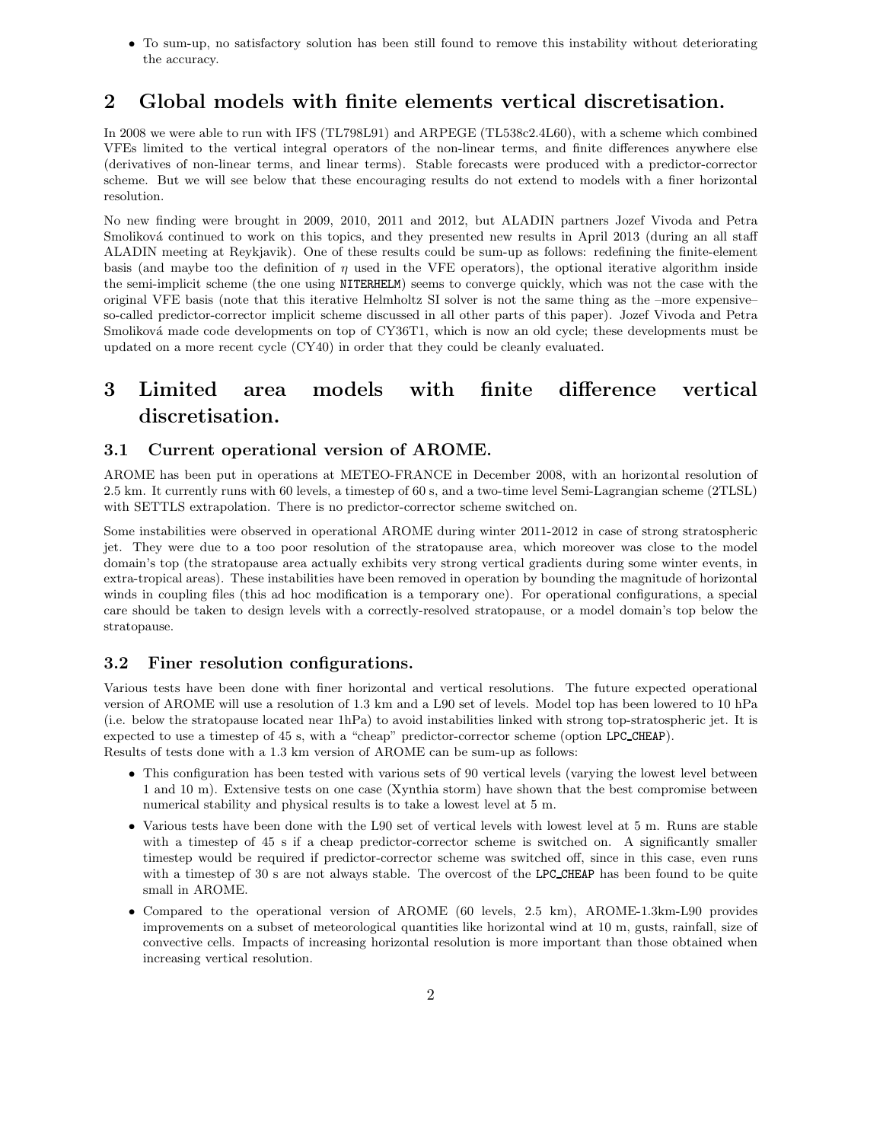• To sum-up, no satisfactory solution has been still found to remove this instability without deteriorating the accuracy.

# 2 Global models with finite elements vertical discretisation.

In 2008 we were able to run with IFS (TL798L91) and ARPEGE (TL538c2.4L60), with a scheme which combined VFEs limited to the vertical integral operators of the non-linear terms, and finite differences anywhere else (derivatives of non-linear terms, and linear terms). Stable forecasts were produced with a predictor-corrector scheme. But we will see below that these encouraging results do not extend to models with a finer horizontal resolution.

No new finding were brought in 2009, 2010, 2011 and 2012, but ALADIN partners Jozef Vivoda and Petra Smoliková continued to work on this topics, and they presented new results in April 2013 (during an all staff ALADIN meeting at Reykjavik). One of these results could be sum-up as follows: redefining the finite-element basis (and maybe too the definition of  $\eta$  used in the VFE operators), the optional iterative algorithm inside the semi-implicit scheme (the one using NITERHELM) seems to converge quickly, which was not the case with the original VFE basis (note that this iterative Helmholtz SI solver is not the same thing as the –more expensive– so-called predictor-corrector implicit scheme discussed in all other parts of this paper). Jozef Vivoda and Petra Smoliková made code developments on top of CY36T1, which is now an old cycle; these developments must be updated on a more recent cycle (CY40) in order that they could be cleanly evaluated.

# 3 Limited area models with finite difference vertical discretisation.

#### 3.1 Current operational version of AROME.

AROME has been put in operations at METEO-FRANCE in December 2008, with an horizontal resolution of 2.5 km. It currently runs with 60 levels, a timestep of 60 s, and a two-time level Semi-Lagrangian scheme (2TLSL) with SETTLS extrapolation. There is no predictor-corrector scheme switched on.

Some instabilities were observed in operational AROME during winter 2011-2012 in case of strong stratospheric jet. They were due to a too poor resolution of the stratopause area, which moreover was close to the model domain's top (the stratopause area actually exhibits very strong vertical gradients during some winter events, in extra-tropical areas). These instabilities have been removed in operation by bounding the magnitude of horizontal winds in coupling files (this ad hoc modification is a temporary one). For operational configurations, a special care should be taken to design levels with a correctly-resolved stratopause, or a model domain's top below the stratopause.

#### 3.2 Finer resolution configurations.

Various tests have been done with finer horizontal and vertical resolutions. The future expected operational version of AROME will use a resolution of 1.3 km and a L90 set of levels. Model top has been lowered to 10 hPa (i.e. below the stratopause located near 1hPa) to avoid instabilities linked with strong top-stratospheric jet. It is expected to use a timestep of 45 s, with a "cheap" predictor-corrector scheme (option LPC CHEAP). Results of tests done with a 1.3 km version of AROME can be sum-up as follows:

- This configuration has been tested with various sets of 90 vertical levels (varying the lowest level between 1 and 10 m). Extensive tests on one case (Xynthia storm) have shown that the best compromise between numerical stability and physical results is to take a lowest level at 5 m.
- Various tests have been done with the L90 set of vertical levels with lowest level at 5 m. Runs are stable with a timestep of 45 s if a cheap predictor-corrector scheme is switched on. A significantly smaller timestep would be required if predictor-corrector scheme was switched off, since in this case, even runs with a timestep of 30 s are not always stable. The overcost of the LPC\_CHEAP has been found to be quite small in AROME.
- Compared to the operational version of AROME (60 levels, 2.5 km), AROME-1.3km-L90 provides improvements on a subset of meteorological quantities like horizontal wind at 10 m, gusts, rainfall, size of convective cells. Impacts of increasing horizontal resolution is more important than those obtained when increasing vertical resolution.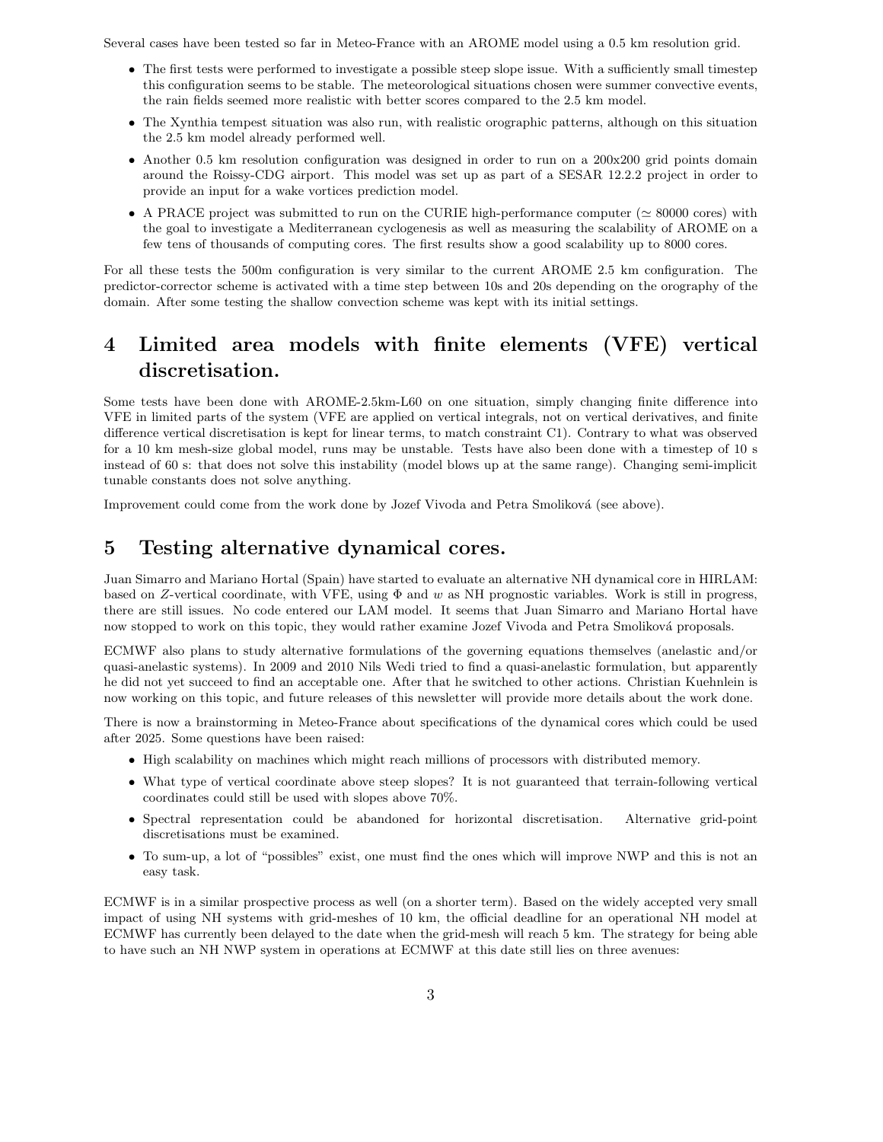Several cases have been tested so far in Meteo-France with an AROME model using a 0.5 km resolution grid.

- The first tests were performed to investigate a possible steep slope issue. With a sufficiently small timestep this configuration seems to be stable. The meteorological situations chosen were summer convective events, the rain fields seemed more realistic with better scores compared to the 2.5 km model.
- The Xynthia tempest situation was also run, with realistic orographic patterns, although on this situation the 2.5 km model already performed well.
- Another 0.5 km resolution configuration was designed in order to run on a 200x200 grid points domain around the Roissy-CDG airport. This model was set up as part of a SESAR 12.2.2 project in order to provide an input for a wake vortices prediction model.
- A PRACE project was submitted to run on the CURIE high-performance computer ( $\simeq 80000$  cores) with the goal to investigate a Mediterranean cyclogenesis as well as measuring the scalability of AROME on a few tens of thousands of computing cores. The first results show a good scalability up to 8000 cores.

For all these tests the 500m configuration is very similar to the current AROME 2.5 km configuration. The predictor-corrector scheme is activated with a time step between 10s and 20s depending on the orography of the domain. After some testing the shallow convection scheme was kept with its initial settings.

## 4 Limited area models with finite elements (VFE) vertical discretisation.

Some tests have been done with AROME-2.5km-L60 on one situation, simply changing finite difference into VFE in limited parts of the system (VFE are applied on vertical integrals, not on vertical derivatives, and finite difference vertical discretisation is kept for linear terms, to match constraint C1). Contrary to what was observed for a 10 km mesh-size global model, runs may be unstable. Tests have also been done with a timestep of 10 s instead of 60 s: that does not solve this instability (model blows up at the same range). Changing semi-implicit tunable constants does not solve anything.

Improvement could come from the work done by Jozef Vivoda and Petra Smoliková (see above).

### 5 Testing alternative dynamical cores.

Juan Simarro and Mariano Hortal (Spain) have started to evaluate an alternative NH dynamical core in HIRLAM: based on Z-vertical coordinate, with VFE, using Φ and w as NH prognostic variables. Work is still in progress, there are still issues. No code entered our LAM model. It seems that Juan Simarro and Mariano Hortal have now stopped to work on this topic, they would rather examine Jozef Vivoda and Petra Smoliková proposals.

ECMWF also plans to study alternative formulations of the governing equations themselves (anelastic and/or quasi-anelastic systems). In 2009 and 2010 Nils Wedi tried to find a quasi-anelastic formulation, but apparently he did not yet succeed to find an acceptable one. After that he switched to other actions. Christian Kuehnlein is now working on this topic, and future releases of this newsletter will provide more details about the work done.

There is now a brainstorming in Meteo-France about specifications of the dynamical cores which could be used after 2025. Some questions have been raised:

- High scalability on machines which might reach millions of processors with distributed memory.
- What type of vertical coordinate above steep slopes? It is not guaranteed that terrain-following vertical coordinates could still be used with slopes above 70%.
- Spectral representation could be abandoned for horizontal discretisation. Alternative grid-point discretisations must be examined.
- To sum-up, a lot of "possibles" exist, one must find the ones which will improve NWP and this is not an easy task.

ECMWF is in a similar prospective process as well (on a shorter term). Based on the widely accepted very small impact of using NH systems with grid-meshes of 10 km, the official deadline for an operational NH model at ECMWF has currently been delayed to the date when the grid-mesh will reach 5 km. The strategy for being able to have such an NH NWP system in operations at ECMWF at this date still lies on three avenues: